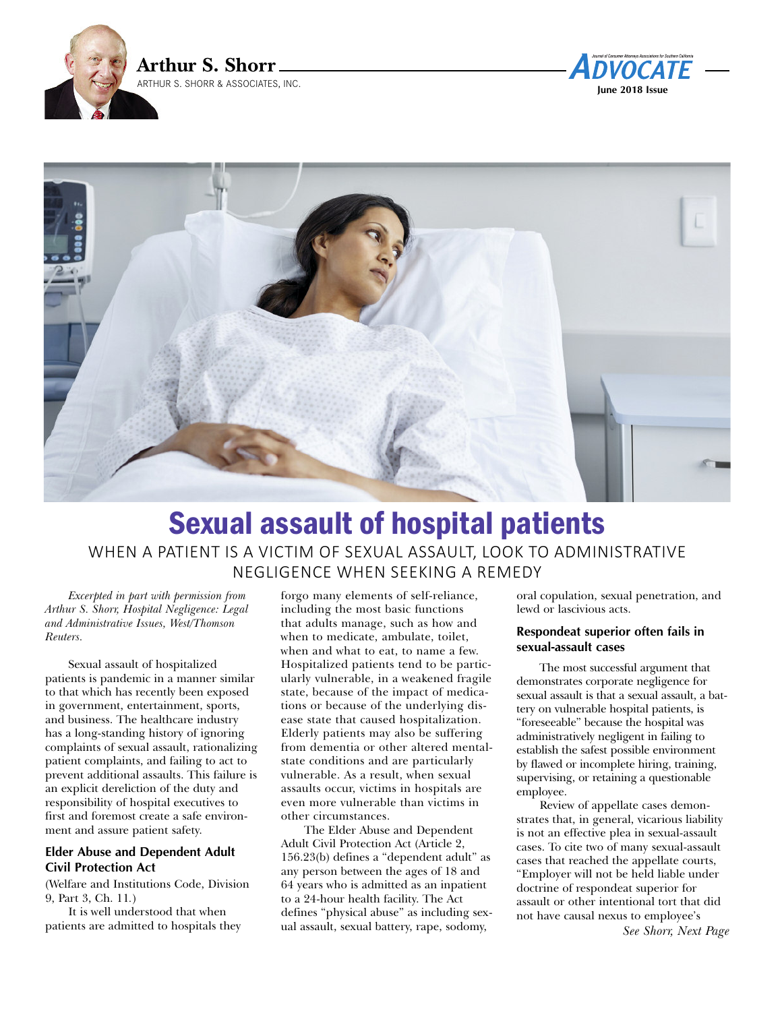





# Sexual assault of hospital patients WHEN A PATIENT IS A VICTIM OF SEXUAL ASSAULT, LOOK TO ADMINISTRATIVE NEGLIGENCE WHEN SEEKING A REMEDY

### *Excerpted in part with permission from Arthur S. Shorr, Hospital Negligence: Legal and Administrative Issues, West/Thomson Reuters.*

Sexual assault of hospitalized patients is pandemic in a manner similar to that which has recently been exposed in government, entertainment, sports, and business. The healthcare industry has a long-standing history of ignoring complaints of sexual assault, rationalizing patient complaints, and failing to act to prevent additional assaults. This failure is an explicit dereliction of the duty and responsibility of hospital executives to first and foremost create a safe environment and assure patient safety.

# **Elder Abuse and Dependent Adult Civil Protection Act**

(Welfare and Institutions Code, Division 9, Part 3, Ch. 11*.*)

It is well understood that when patients are admitted to hospitals they

forgo many elements of self-reliance, including the most basic functions that adults manage, such as how and when to medicate, ambulate, toilet, when and what to eat, to name a few. Hospitalized patients tend to be particularly vulnerable, in a weakened fragile state, because of the impact of medications or because of the underlying disease state that caused hospitalization. Elderly patients may also be suffering from dementia or other altered mentalstate conditions and are particularly vulnerable. As a result, when sexual assaults occur, victims in hospitals are even more vulnerable than victims in other circumstances.

The Elder Abuse and Dependent Adult Civil Protection Act (Article 2, 156.23(b) defines a "dependent adult" as any person between the ages of 18 and 64 years who is admitted as an inpatient to a 24-hour health facility. The Act defines "physical abuse" as including sexual assault, sexual battery, rape, sodomy,

oral copulation, sexual penetration, and lewd or lascivious acts.

# **Respondeat superior often fails in sexual-assault cases**

The most successful argument that demonstrates corporate negligence for sexual assault is that a sexual assault, a battery on vulnerable hospital patients, is "foreseeable" because the hospital was administratively negligent in failing to establish the safest possible environment by flawed or incomplete hiring, training, supervising, or retaining a questionable employee.

Review of appellate cases demonstrates that, in general, vicarious liability is not an effective plea in sexual-assault cases. To cite two of many sexual-assault cases that reached the appellate courts, "Employer will not be held liable under doctrine of respondeat superior for assault or other intentional tort that did not have causal nexus to employee's

*See Shorr, Next Page*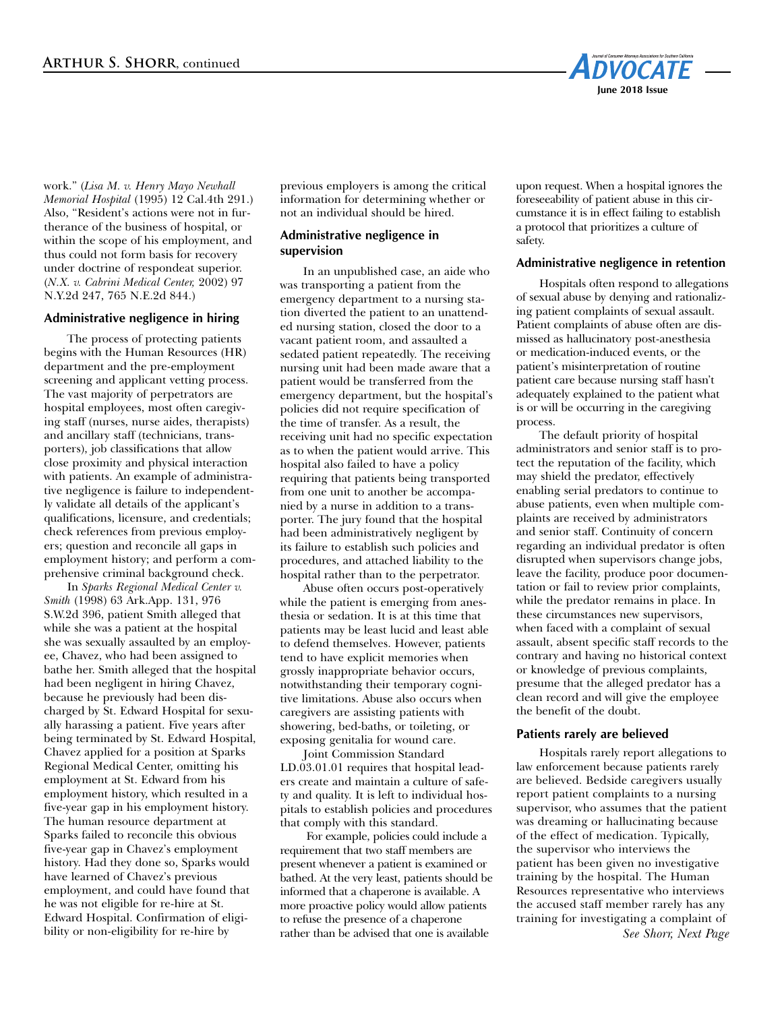

work." (*Lisa M. v. Henry Mayo Newhall Memorial Hospital* (1995) 12 Cal.4th 291.) Also, "Resident's actions were not in furtherance of the business of hospital, or within the scope of his employment, and thus could not form basis for recovery under doctrine of respondeat superior. (*N.X. v. Cabrini Medical Center,* 2002) 97 N.Y.2d 247, 765 N.E.2d 844.)

## **Administrative negligence in hiring**

The process of protecting patients begins with the Human Resources (HR) department and the pre-employment screening and applicant vetting process. The vast majority of perpetrators are hospital employees, most often caregiving staff (nurses, nurse aides, therapists) and ancillary staff (technicians, transporters), job classifications that allow close proximity and physical interaction with patients. An example of administrative negligence is failure to independently validate all details of the applicant's qualifications, licensure, and credentials; check references from previous employers; question and reconcile all gaps in employment history; and perform a comprehensive criminal background check.

In *Sparks Regional Medical Center v. Smith* (1998) 63 Ark.App. 131, 976 S.W.2d 396, patient Smith alleged that while she was a patient at the hospital she was sexually assaulted by an employee, Chavez, who had been assigned to bathe her. Smith alleged that the hospital had been negligent in hiring Chavez, because he previously had been discharged by St. Edward Hospital for sexually harassing a patient. Five years after being terminated by St. Edward Hospital, Chavez applied for a position at Sparks Regional Medical Center, omitting his employment at St. Edward from his employment history, which resulted in a five-year gap in his employment history. The human resource department at Sparks failed to reconcile this obvious five-year gap in Chavez's employment history. Had they done so, Sparks would have learned of Chavez's previous employment, and could have found that he was not eligible for re-hire at St. Edward Hospital. Confirmation of eligibility or non-eligibility for re-hire by

previous employers is among the critical information for determining whether or not an individual should be hired.

## **Administrative negligence in supervision**

In an unpublished case, an aide who was transporting a patient from the emergency department to a nursing station diverted the patient to an unattended nursing station, closed the door to a vacant patient room, and assaulted a sedated patient repeatedly. The receiving nursing unit had been made aware that a patient would be transferred from the emergency department, but the hospital's policies did not require specification of the time of transfer. As a result, the receiving unit had no specific expectation as to when the patient would arrive. This hospital also failed to have a policy requiring that patients being transported from one unit to another be accompanied by a nurse in addition to a transporter. The jury found that the hospital had been administratively negligent by its failure to establish such policies and procedures, and attached liability to the hospital rather than to the perpetrator.

Abuse often occurs post-operatively while the patient is emerging from anesthesia or sedation. It is at this time that patients may be least lucid and least able to defend themselves. However, patients tend to have explicit memories when grossly inappropriate behavior occurs, notwithstanding their temporary cognitive limitations. Abuse also occurs when caregivers are assisting patients with showering, bed-baths, or toileting, or exposing genitalia for wound care.

Joint Commission Standard LD.03.01.01 requires that hospital leaders create and maintain a culture of safety and quality. It is left to individual hospitals to establish policies and procedures that comply with this standard.

For example, policies could include a requirement that two staff members are present whenever a patient is examined or bathed. At the very least, patients should be informed that a chaperone is available. A more proactive policy would allow patients to refuse the presence of a chaperone rather than be advised that one is available

upon request. When a hospital ignores the foreseeability of patient abuse in this circumstance it is in effect failing to establish a protocol that prioritizes a culture of safety.

## **Administrative negligence in retention**

Hospitals often respond to allegations of sexual abuse by denying and rationalizing patient complaints of sexual assault. Patient complaints of abuse often are dismissed as hallucinatory post-anesthesia or medication-induced events, or the patient's misinterpretation of routine patient care because nursing staff hasn't adequately explained to the patient what is or will be occurring in the caregiving process.

The default priority of hospital administrators and senior staff is to protect the reputation of the facility, which may shield the predator, effectively enabling serial predators to continue to abuse patients, even when multiple complaints are received by administrators and senior staff. Continuity of concern regarding an individual predator is often disrupted when supervisors change jobs, leave the facility, produce poor documentation or fail to review prior complaints, while the predator remains in place. In these circumstances new supervisors, when faced with a complaint of sexual assault, absent specific staff records to the contrary and having no historical context or knowledge of previous complaints, presume that the alleged predator has a clean record and will give the employee the benefit of the doubt.

# **Patients rarely are believed**

Hospitals rarely report allegations to law enforcement because patients rarely are believed. Bedside caregivers usually report patient complaints to a nursing supervisor, who assumes that the patient was dreaming or hallucinating because of the effect of medication. Typically, the supervisor who interviews the patient has been given no investigative training by the hospital. The Human Resources representative who interviews the accused staff member rarely has any training for investigating a complaint of

*See Shorr, Next Page*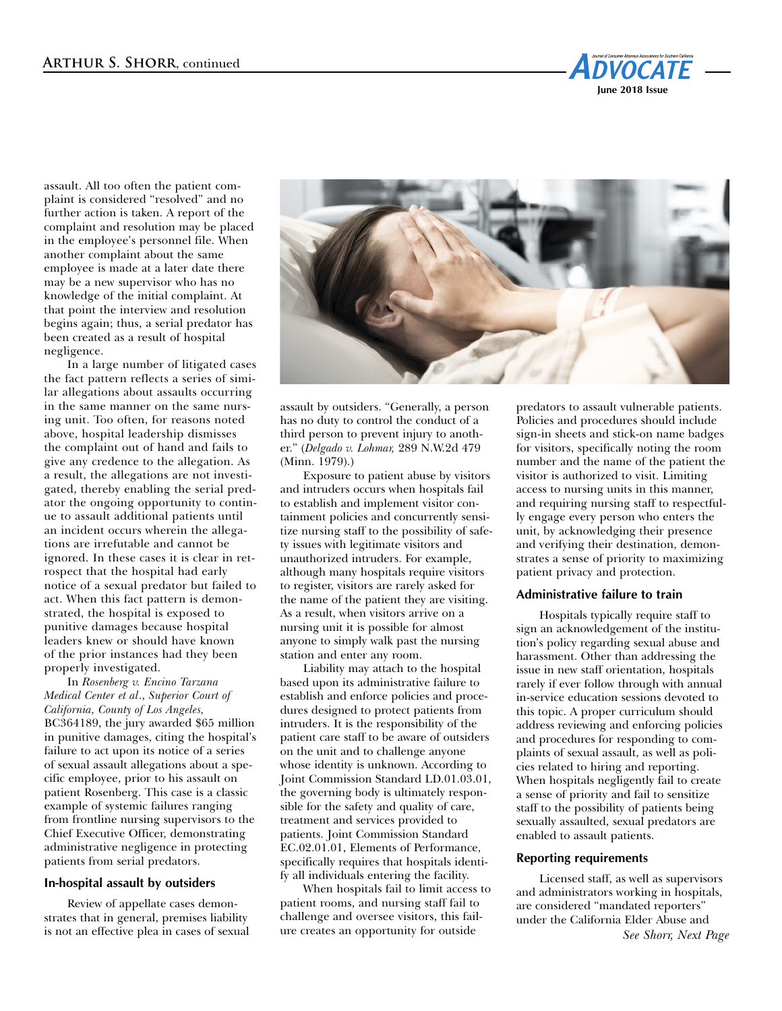

assault. All too often the patient complaint is considered "resolved" and no further action is taken. A report of the complaint and resolution may be placed in the employee's personnel file. When another complaint about the same employee is made at a later date there may be a new supervisor who has no knowledge of the initial complaint. At that point the interview and resolution begins again; thus, a serial predator has been created as a result of hospital negligence.

In a large number of litigated cases the fact pattern reflects a series of similar allegations about assaults occurring in the same manner on the same nursing unit. Too often, for reasons noted above, hospital leadership dismisses the complaint out of hand and fails to give any credence to the allegation. As a result, the allegations are not investigated, thereby enabling the serial predator the ongoing opportunity to continue to assault additional patients until an incident occurs wherein the allegations are irrefutable and cannot be ignored. In these cases it is clear in retrospect that the hospital had early notice of a sexual predator but failed to act. When this fact pattern is demonstrated, the hospital is exposed to punitive damages because hospital leaders knew or should have known of the prior instances had they been properly investigated.

In *Rosenberg v. Encino Tarzana Medical Center et al*., *Superior Court of California, County of Los Angeles,* BC364189, the jury awarded \$65 million in punitive damages, citing the hospital's failure to act upon its notice of a series of sexual assault allegations about a specific employee, prior to his assault on patient Rosenberg. This case is a classic example of systemic failures ranging from frontline nursing supervisors to the Chief Executive Officer, demonstrating administrative negligence in protecting patients from serial predators.

## **In-hospital assault by outsiders**

Review of appellate cases demonstrates that in general, premises liability is not an effective plea in cases of sexual



assault by outsiders. "Generally, a person has no duty to control the conduct of a third person to prevent injury to another." (*Delgado v. Lohmar,* 289 N.W.2d 479 (Minn. 1979).)

Exposure to patient abuse by visitors and intruders occurs when hospitals fail to establish and implement visitor containment policies and concurrently sensitize nursing staff to the possibility of safety issues with legitimate visitors and unauthorized intruders. For example, although many hospitals require visitors to register, visitors are rarely asked for the name of the patient they are visiting. As a result, when visitors arrive on a nursing unit it is possible for almost anyone to simply walk past the nursing station and enter any room.

Liability may attach to the hospital based upon its administrative failure to establish and enforce policies and procedures designed to protect patients from intruders. It is the responsibility of the patient care staff to be aware of outsiders on the unit and to challenge anyone whose identity is unknown. According to Joint Commission Standard LD.01.03.01, the governing body is ultimately responsible for the safety and quality of care, treatment and services provided to patients. Joint Commission Standard EC.02.01.01, Elements of Performance, specifically requires that hospitals identify all individuals entering the facility.

When hospitals fail to limit access to patient rooms, and nursing staff fail to challenge and oversee visitors, this failure creates an opportunity for outside

predators to assault vulnerable patients. Policies and procedures should include sign-in sheets and stick-on name badges for visitors, specifically noting the room number and the name of the patient the visitor is authorized to visit. Limiting access to nursing units in this manner, and requiring nursing staff to respectfully engage every person who enters the unit, by acknowledging their presence and verifying their destination, demonstrates a sense of priority to maximizing patient privacy and protection.

#### **Administrative failure to train**

Hospitals typically require staff to sign an acknowledgement of the institution's policy regarding sexual abuse and harassment. Other than addressing the issue in new staff orientation, hospitals rarely if ever follow through with annual in-service education sessions devoted to this topic. A proper curriculum should address reviewing and enforcing policies and procedures for responding to complaints of sexual assault, as well as policies related to hiring and reporting. When hospitals negligently fail to create a sense of priority and fail to sensitize staff to the possibility of patients being sexually assaulted, sexual predators are enabled to assault patients.

### **Reporting requirements**

Licensed staff, as well as supervisors and administrators working in hospitals, are considered "mandated reporters" under the California Elder Abuse and *See Shorr, Next Page*